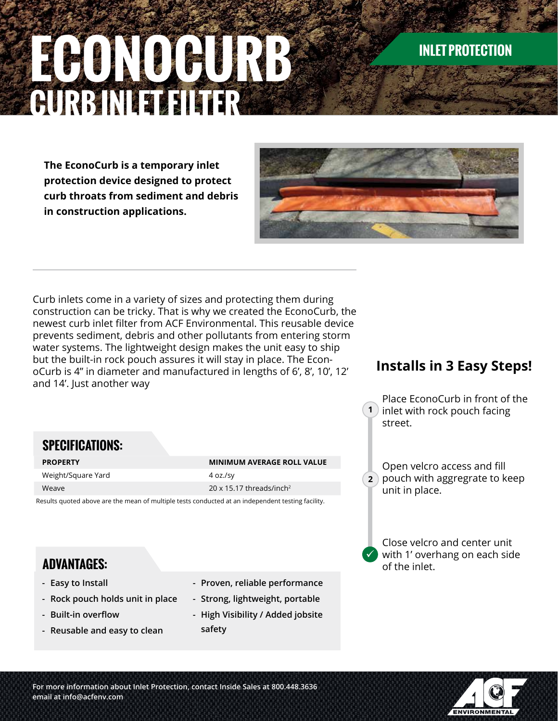# **ECONOCURB CURB IN EXTERNAL EXPLORER**

## **INLET PROTECTION**

**The EconoCurb is a temporary inlet protection device designed to protect curb throats from sediment and debris in construction applications.**



Curb inlets come in a variety of sizes and protecting them during construction can be tricky. That is why we created the EconoCurb, the newest curb inlet filter from ACF Environmental. This reusable device prevents sediment, debris and other pollutants from entering storm water systems. The lightweight design makes the unit easy to ship but the built-in rock pouch assures it will stay in place. The EconoCurb is 4" in diameter and manufactured in lengths of 6', 8', 10', 12' and 14'. Just another way

**PROPERTY MINIMUM AVERAGE ROLL VALUE**

Results quoted above are the mean of multiple tests conducted at an independent testing facility.

Weave 20 x 15.17 threads/inch<sup>2</sup>

Weight/Square Yard 4 oz./sy

### **Installs in 3 Easy Steps!**

**1** inlet with rock pouch facing Place EconoCurb in front of the street.

**2** pouch with aggregrate to keep Open velcro access and fill unit in place.

 $\checkmark$ Close velcro and center unit with 1' overhang on each side of the inlet.

## **ADVANTAGES:**

**SPECIFICATIONS:**

- **- Easy to Install**
- **- Rock pouch holds unit in place**
- **- Built-in overflow**
- **- Reusable and easy to clean**
- **- Proven, reliable performance**
- **- Strong, lightweight, portable**
- **- High Visibility / Added jobsite safety**